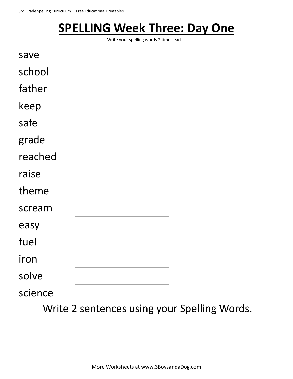### **SPELLING Week Three: Day One**

Write your spelling words 2 times each.

| save    |                                              |  |
|---------|----------------------------------------------|--|
| school  |                                              |  |
| father  |                                              |  |
| keep    |                                              |  |
| safe    |                                              |  |
| grade   |                                              |  |
| reached |                                              |  |
| raise   |                                              |  |
| theme   |                                              |  |
| scream  |                                              |  |
| easy    |                                              |  |
| fuel    |                                              |  |
| iron    |                                              |  |
| solve   |                                              |  |
| science |                                              |  |
|         | Write 2 sentences using your Spelling Words. |  |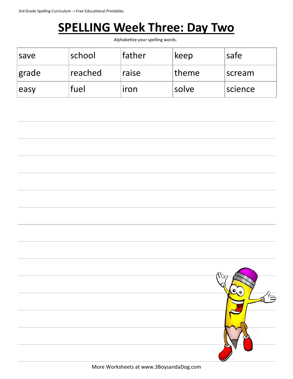### **SPELLING Week Three: Day Two**

Alphabetize your spelling words.

| save  | school  | <b>father</b> | keep  | safe    |
|-------|---------|---------------|-------|---------|
| grade | reached | raise         | theme | scream  |
| easy  | fuel    | iron          | solve | science |

More Worksheets at www.3BoysandaDog.com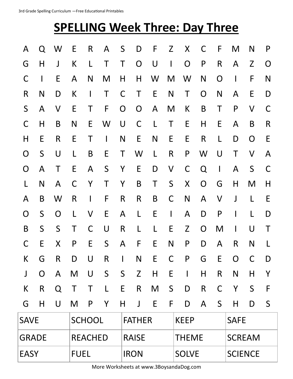# **SPELLING Week Three: Day Three**

| A            | Q                        | -W           | E            | R                        | $\mathsf{A}$ | S              | D              | F            | Z            | X              | C              | F              | M                        | N            |        |  |
|--------------|--------------------------|--------------|--------------|--------------------------|--------------|----------------|----------------|--------------|--------------|----------------|----------------|----------------|--------------------------|--------------|--------|--|
| G            | H                        | $\mathsf{J}$ | K            | L                        | $\mathsf T$  | $\top$         | $\overline{O}$ | U            | $\mathbf{I}$ | $\overline{O}$ | P              | $\mathsf{R}$   | A                        | Z            | O      |  |
| C            | $\overline{\phantom{a}}$ | E            | $\mathsf{A}$ | N.                       | M            | H              | H              | W            | M            | W              | N              | $\overline{O}$ | $\mathbf{I}$             | F            | N      |  |
| R            | N                        | D            | K            | $\mathbf{I}$             | T            | $\mathsf{C}$   | $\mathsf T$    | E            | N            | T              | $\mathsf{O}$   | N              | A                        | E            | D      |  |
| S            | $\mathsf{A}$             | $\mathsf{V}$ | E            | T                        | F            | $\overline{O}$ | $\overline{O}$ | $\mathsf{A}$ | M            | K              | B              | $\top$         | P                        | $\mathsf{V}$ | C      |  |
| C            | H                        | B            | N            | E                        | W            | $\bigcup$      | $\mathsf{C}$   | $\mathsf{L}$ | $\top$       | E              | H              | E              | A                        | B            | R      |  |
| H            | E                        | R            | E            | Τ                        | $\mathbf{I}$ | N              | E              | N            | E            | E              | $\mathsf{R}$   | L              | D                        | O            | E      |  |
| O            | S                        | U            | $\mathsf{L}$ | B                        | E            | $\mathsf T$    | W              | $\mathsf{L}$ | $\mathsf{R}$ | P              | W              | U              | $\top$                   | $\mathsf{V}$ | A      |  |
| $\mathsf{O}$ | $\mathsf{A}$             | $\mathsf T$  | E            | $\mathsf{A}$             | $\mathsf{S}$ | Y              | E              | D            | $\mathsf{V}$ | $\mathsf{C}$   | Q              | $\mathbf{I}$   | A                        | S            | C      |  |
| L            | N                        | A            | $\mathsf{C}$ | Y                        | $\mathsf T$  | Y              | $\mathsf B$    | $\mathsf T$  | S            | X              | $\overline{O}$ | G              | H                        | M            | H      |  |
| A            | B                        | W            | R            | $\overline{\phantom{a}}$ | F            | $\mathsf{R}$   | R              | B            | $\mathsf C$  | N              | $\mathsf{A}$   | $\vee$         | J                        | L            | E      |  |
| O            | S                        | O            | L            | V                        | E.           | A              | $\mathsf{L}$   | E            | $\mathbf{I}$ | A              | D              | P              | $\mathsf{l}$             | L            | D      |  |
| B            | $\mathsf{S}$             | $\mathsf{S}$ | Τ            | C                        | U            | $\mathsf{R}$   | L              | L            | E            | Z              | $\overline{O}$ | M              | $\overline{\phantom{a}}$ | U            | $\top$ |  |
| C            | E                        | X            | P            | E                        | $\mathsf{S}$ | $\mathsf{A}$   | F              | E            | N            | P              | D              | $\mathsf{A}$   | R                        | N            |        |  |
| K            | G                        | R            | D            | $\bigcup$                | $\mathsf{R}$ |                | N              | E            | C            | P              | G              | E              | O                        | C            | D      |  |
| J            | $\mathbf O$              | $\mathsf{A}$ | M            | $\bigcup$                | $\mathsf{S}$ | S              | Z              | H            | E            | $\mathbf{I}$   | H              | $\mathsf{R}$   | $\mathsf{N}$             | H            | Y      |  |
| K            | R                        | Q            | T            | Τ                        | L            | E              | $\mathsf{R}$   | M            | S            | D              | $\mathsf{R}$   | $\mathsf{C}$   | Y                        | $\mathsf{S}$ | F      |  |
| G            | $\mathsf{H}$             | U            | M            | P                        | Y            | H              | J              | E            | F            | D              | $\mathsf{A}$   | S              | $\mathsf{H}$             | D            | S      |  |
| <b>SAVE</b>  |                          |              |              | <b>SCHOOL</b>            |              | <b>FATHER</b>  |                |              |              | <b>KEEP</b>    |                |                | <b>SAFE</b>              |              |        |  |
| <b>GRADE</b> |                          |              |              | <b>REACHED</b>           |              |                | <b>RAISE</b>   |              |              | <b>THEME</b>   |                |                | <b>SCREAM</b>            |              |        |  |
| <b>EASY</b>  |                          |              | <b>FUEL</b>  |                          |              |                | <b>IRON</b>    |              |              | <b>SOLVE</b>   |                |                | <b>SCIENCE</b>           |              |        |  |
|              |                          |              |              |                          |              |                |                |              |              |                |                |                |                          |              |        |  |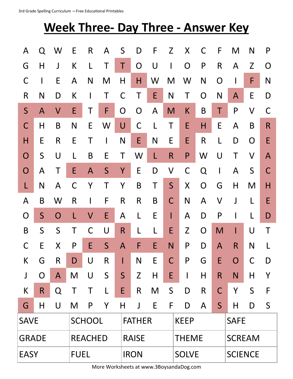|             | 3rd Grade Spelling Curriculum - Free Educational Printables |              |               |                |              |              |               |   |              |                                           |              |              |                |             |              |  |
|-------------|-------------------------------------------------------------|--------------|---------------|----------------|--------------|--------------|---------------|---|--------------|-------------------------------------------|--------------|--------------|----------------|-------------|--------------|--|
|             |                                                             |              |               |                |              |              |               |   |              | <b>Week Three- Day Three - Answer Key</b> |              |              |                |             |              |  |
| A           | Q                                                           | W            | E             | $\mathsf{R}$   | A            | S            | D             | F | Z            | X                                         | C            | F            | M              | N           | P            |  |
| G           | H                                                           | J            | К             |                | Τ            | Τ            | O             | U | $\mathsf I$  | O                                         | P            | $\mathsf{R}$ | A              | Z           | O            |  |
| C           |                                                             | E            | A             | N              | M            | Η            | Η             | W | M            | W                                         | N            | O            |                | F           | N            |  |
| R           | N                                                           | D            | К             |                | Τ            | C            | Τ             | E | N            | Τ                                         | O            | N            | A              | E           | D            |  |
| S           | $\mathsf{A}$                                                | $\sf V$      | E             | Τ              | F            | O            | O             | A | M            | K                                         | B            | Τ            | P              | $\sf V$     | C            |  |
| C           | Η                                                           | B            | N             | E              | W            | U            | $\mathsf C$   |   | Τ            | E                                         | H            | E            | A              | B           | R            |  |
| Н           | E                                                           | R            | E             | Τ              |              | N            | E             | N | E            | E                                         | $\mathsf{R}$ | L            | D              | O           | E            |  |
| O           | S                                                           | U            |               | B              | E            | Τ            | W             | L | R            | P                                         | W            | U            | Τ              | $\sf V$     | $\mathsf{A}$ |  |
| O           | A                                                           |              | E             | $\mathsf{A}$   | S            | Υ            | E             | D | V            | C                                         | Q            | $\mathsf{l}$ | A              | S           | C            |  |
|             | $\mathsf{N}$                                                | A            | C             | Y              | Τ            | Y            | B             | Τ | $\mathsf{S}$ | X                                         | O            | G            | Η              | M           | Η            |  |
| A           | B                                                           | W            | R             |                | F            | R            | R             | B | C            | N                                         | A            | V            | J              |             | E            |  |
| O           | S                                                           | O            |               | V              | E            | A            |               | E | I            | A                                         | D            | P            |                |             | D            |  |
| B           | $\mathsf{S}$                                                | S            | Τ             | C              | U            | R            | L             | L | E            | Z                                         | $\mathbf O$  | M            |                | U           | Τ            |  |
| $\mathsf C$ | E                                                           | $\mathsf{X}$ | P             | E              | S            | $\mathsf{A}$ | F             | E | N            | P                                         | D            | $\mathsf{A}$ | $\mathsf{R}$   | N           | L            |  |
| K           | G                                                           | $\mathsf{R}$ | D             | $\bigcup$      | $\mathsf{R}$ | I            | N             | E | $\mathsf C$  | $\mathsf{P}$                              | G            | E            | O              | $\mathsf C$ | D            |  |
| J           | $\mathsf O$                                                 | $\mathsf{A}$ | M             | $\bigcup$      | S            | S            | Z             | H | E            | $\mathsf{l}$                              | H            | $\mathsf{R}$ | N              | H           | Y            |  |
| К           | $\mathsf{R}$                                                | Q            | Τ             | Τ              | L            | E            | $\mathsf{R}$  | M | S            | D                                         | $\mathsf{R}$ | $\mathsf C$  | Y              | S           | F            |  |
| G           | Н                                                           | $\bigcup$    | M             | P              | Y            | Η            | $\mathsf J$   | E | F            | D                                         | A            | S            | Η              | D           | S            |  |
| <b>SAVE</b> |                                                             |              | <b>SCHOOL</b> |                |              |              | <b>FATHER</b> |   |              | <b>KEEP</b>                               |              |              | <b>SAFE</b>    |             |              |  |
| GRADE       |                                                             |              |               | <b>REACHED</b> |              |              | <b>RAISE</b>  |   |              | <b>THEME</b>                              |              |              | <b>SCREAM</b>  |             |              |  |
| EASY        |                                                             |              | <b>FUEL</b>   |                |              |              | <b>IRON</b>   |   |              | <b>SOLVE</b>                              |              |              | <b>SCIENCE</b> |             |              |  |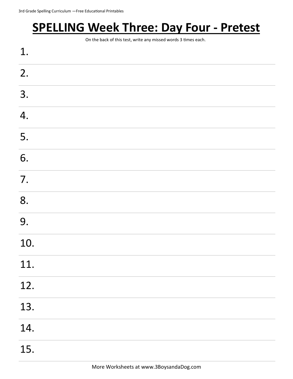## **SPELLING Week Three: Day Four - Pretest**

On the back of this test, write any missed words 3 times each.

| 1.  |  |  |
|-----|--|--|
| 2.  |  |  |
| 3.  |  |  |
| 4.  |  |  |
| 5.  |  |  |
| 6.  |  |  |
| 7.  |  |  |
| 8.  |  |  |
| 9.  |  |  |
| 10. |  |  |
| 11. |  |  |
| 12. |  |  |
| 13. |  |  |
| 14. |  |  |
| 15. |  |  |